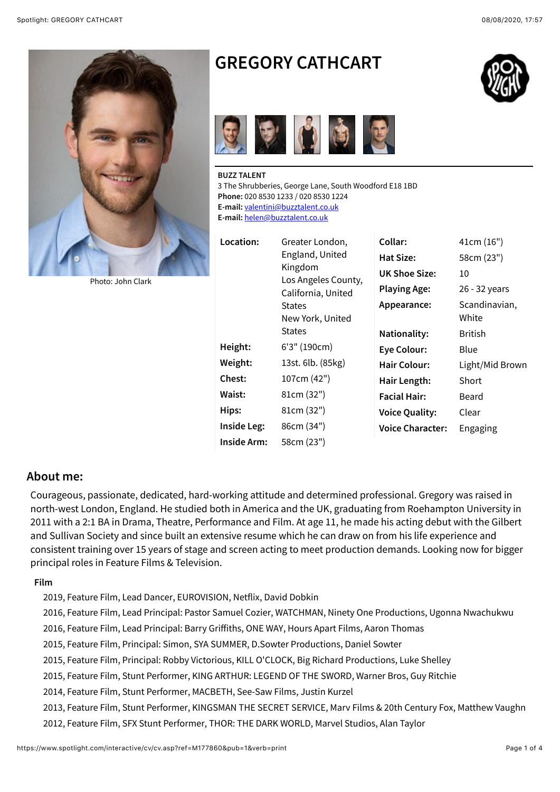

[Photo: John Clark](https://www.spotlight.com/photo/~540x540/ffffff/loose/1/M177860.0102.jpg)

# **GREGORY CATHCART**



**BUZZ TALENT** 3 The Shrubberies, George Lane, South Woodford E18 1BD **Phone:** 020 8530 1233 / 020 8530 1224 **E-mail:** [valentini@buzztalent.co.uk](mailto:valentini@buzztalent.co.uk) **E-mail:** [helen@buzztalent.co.uk](mailto:helen@buzztalent.co.uk)

Location

| Location:   | Greater London,     |
|-------------|---------------------|
|             | England, United     |
|             | Kingdom             |
|             | Los Angeles County, |
|             | California, United  |
|             | States              |
|             | New York, United    |
|             | States              |
| Height:     | 6'3" (190cm)        |
| Weight:     | 13st. 6lb. (85kg)   |
| Chest:      | 107cm (42")         |
| Waist:      | 81cm (32")          |
| Hips:       | 81cm (32")          |
| Inside Leg: | 86cm (34")          |
| Inside Arm: | 58cm (23")          |

| Collar:                 | 41cm (16")             |
|-------------------------|------------------------|
| Hat Size:               | 58cm (23")             |
| UK Shoe Size:           | 10                     |
| <b>Playing Age:</b>     | 26 - 32 years          |
| Appearance:             | Scandinavian,<br>White |
| Nationality:            | British                |
| <b>Eye Colour:</b>      | Blue                   |
| Hair Colour:            | Light/Mid Brown        |
| Hair Length:            | Short                  |
| <b>Facial Hair:</b>     | Beard                  |
| <b>Voice Quality:</b>   | Clear                  |
| <b>Voice Character:</b> | Engaging               |

### **About me:**

Courageous, passionate, dedicated, hard-working attitude and determined professional. Gregory was raised in north-west London, England. He studied both in America and the UK, graduating from Roehampton University in 2011 with a 2:1 BA in Drama, Theatre, Performance and Film. At age 11, he made his acting debut with the Gilbert and Sullivan Society and since built an extensive resume which he can draw on from his life experience and consistent training over 15 years of stage and screen acting to meet production demands. Looking now for bigger principal roles in Feature Films & Television.

#### **Film**

- 2019, Feature Film, Lead Dancer, EUROVISION, Netflix, David Dobkin
- 2016, Feature Film, Lead Principal: Pastor Samuel Cozier, WATCHMAN, Ninety One Productions, Ugonna Nwachukwu
- 2016, Feature Film, Lead Principal: Barry Griffiths, ONE WAY, Hours Apart Films, Aaron Thomas
- 2015, Feature Film, Principal: Simon, SYA SUMMER, D.Sowter Productions, Daniel Sowter
- 2015, Feature Film, Principal: Robby Victorious, KILL O'CLOCK, Big Richard Productions, Luke Shelley
- 2015, Feature Film, Stunt Performer, KING ARTHUR: LEGEND OF THE SWORD, Warner Bros, Guy Ritchie
- 2014, Feature Film, Stunt Performer, MACBETH, See-Saw Films, Justin Kurzel
- 2013, Feature Film, Stunt Performer, KINGSMAN THE SECRET SERVICE, Marv Films & 20th Century Fox, Matthew Vaughn
- 2012, Feature Film, SFX Stunt Performer, THOR: THE DARK WORLD, Marvel Studios, Alan Taylor

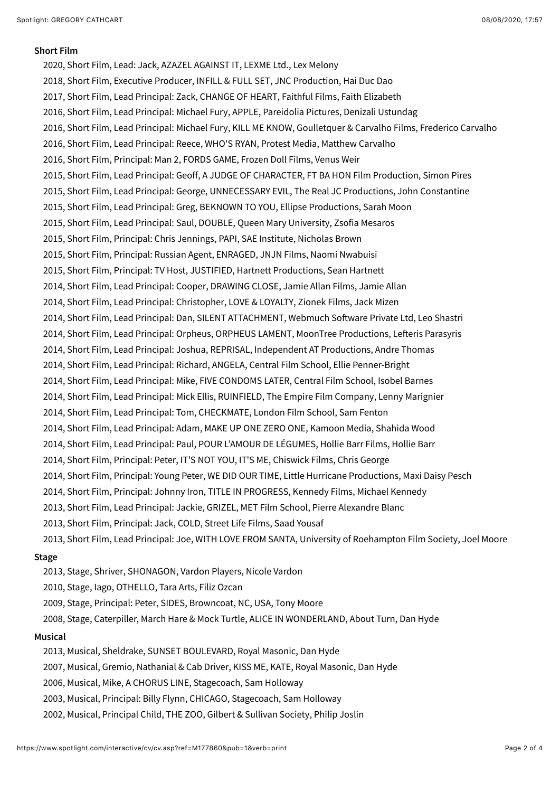#### **Short Film**

2020, Short Film, Lead: Jack, AZAZEL AGAINST IT, LEXME Ltd., Lex Melony 2018, Short Film, Executive Producer, INFILL & FULL SET, JNC Production, Hai Duc Dao 2017, Short Film, Lead Principal: Zack, CHANGE OF HEART, Faithful Films, Faith Elizabeth 2016, Short Film, Lead Principal: Michael Fury, APPLE, Pareidolia Pictures, Denizali Ustundag 2016, Short Film, Lead Principal: Michael Fury, KILL ME KNOW, Goulletquer & Carvalho Films, Frederico Carvalho 2016, Short Film, Lead Principal: Reece, WHO'S RYAN, Protest Media, Matthew Carvalho 2016, Short Film, Principal: Man 2, FORDS GAME, Frozen Doll Films, Venus Weir 2015, Short Film, Lead Principal: Geoff, A JUDGE OF CHARACTER, FT BA HON Film Production, Simon Pires 2015, Short Film, Lead Principal: George, UNNECESSARY EVIL, The Real JC Productions, John Constantine 2015, Short Film, Lead Principal: Greg, BEKNOWN TO YOU, Ellipse Productions, Sarah Moon 2015, Short Film, Lead Principal: Saul, DOUBLE, Queen Mary University, Zsofia Mesaros 2015, Short Film, Principal: Chris Jennings, PAPI, SAE Institute, Nicholas Brown 2015, Short Film, Principal: Russian Agent, ENRAGED, JNJN Films, Naomi Nwabuisi 2015, Short Film, Principal: TV Host, JUSTIFIED, Hartnett Productions, Sean Hartnett 2014, Short Film, Lead Principal: Cooper, DRAWING CLOSE, Jamie Allan Films, Jamie Allan 2014, Short Film, Lead Principal: Christopher, LOVE & LOYALTY, Zionek Films, Jack Mizen 2014, Short Film, Lead Principal: Dan, SILENT ATTACHMENT, Webmuch Software Private Ltd, Leo Shastri 2014, Short Film, Lead Principal: Orpheus, ORPHEUS LAMENT, MoonTree Productions, Lefteris Parasyris 2014, Short Film, Lead Principal: Joshua, REPRISAL, Independent AT Productions, Andre Thomas 2014, Short Film, Lead Principal: Richard, ANGELA, Central Film School, Ellie Penner-Bright 2014, Short Film, Lead Principal: Mike, FIVE CONDOMS LATER, Central Film School, Isobel Barnes 2014, Short Film, Lead Principal: Mick Ellis, RUINFIELD, The Empire Film Company, Lenny Marignier 2014, Short Film, Lead Principal: Tom, CHECKMATE, London Film School, Sam Fenton 2014, Short Film, Lead Principal: Adam, MAKE UP ONE ZERO ONE, Kamoon Media, Shahida Wood 2014, Short Film, Lead Principal: Paul, POUR L'AMOUR DE LÉGUMES, Hollie Barr Films, Hollie Barr 2014, Short Film, Principal: Peter, IT'S NOT YOU, IT'S ME, Chiswick Films, Chris George 2014, Short Film, Principal: Young Peter, WE DID OUR TIME, Little Hurricane Productions, Maxi Daisy Pesch 2014, Short Film, Principal: Johnny Iron, TITLE IN PROGRESS, Kennedy Films, Michael Kennedy 2013, Short Film, Lead Principal: Jackie, GRIZEL, MET Film School, Pierre Alexandre Blanc 2013, Short Film, Principal: Jack, COLD, Street Life Films, Saad Yousaf 2013, Short Film, Lead Principal: Joe, WITH LOVE FROM SANTA, University of Roehampton Film Society, Joel Moore

#### **Stage**

2013, Stage, Shriver, SHONAGON, Vardon Players, Nicole Vardon 2010, Stage, Iago, OTHELLO, Tara Arts, Filiz Ozcan 2009, Stage, Principal: Peter, SIDES, Browncoat, NC, USA, Tony Moore 2008, Stage, Caterpiller, March Hare & Mock Turtle, ALICE IN WONDERLAND, About Turn, Dan Hyde **Musical**

2013, Musical, Sheldrake, SUNSET BOULEVARD, Royal Masonic, Dan Hyde 2007, Musical, Gremio, Nathanial & Cab Driver, KISS ME, KATE, Royal Masonic, Dan Hyde 2006, Musical, Mike, A CHORUS LINE, Stagecoach, Sam Holloway 2003, Musical, Principal: Billy Flynn, CHICAGO, Stagecoach, Sam Holloway 2002, Musical, Principal Child, THE ZOO, Gilbert & Sullivan Society, Philip Joslin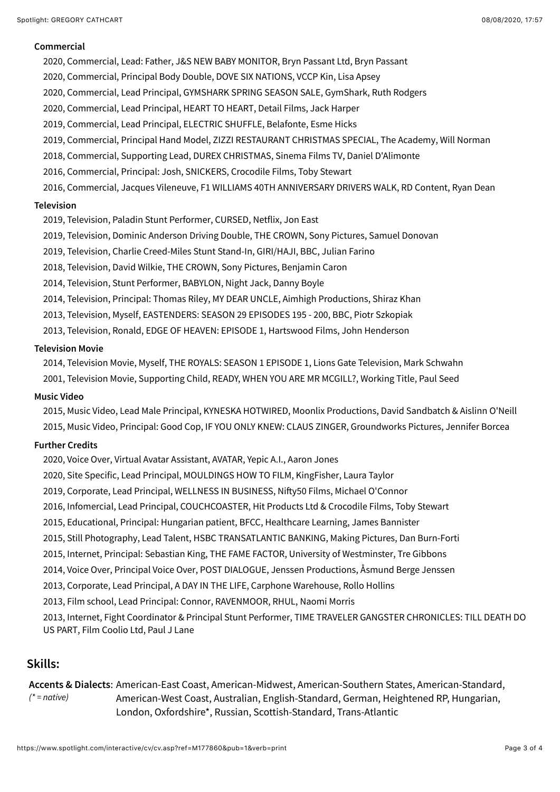#### **Commercial**

- 2020, Commercial, Lead: Father, J&S NEW BABY MONITOR, Bryn Passant Ltd, Bryn Passant
- 2020, Commercial, Principal Body Double, DOVE SIX NATIONS, VCCP Kin, Lisa Apsey
- 2020, Commercial, Lead Principal, GYMSHARK SPRING SEASON SALE, GymShark, Ruth Rodgers
- 2020, Commercial, Lead Principal, HEART TO HEART, Detail Films, Jack Harper
- 2019, Commercial, Lead Principal, ELECTRIC SHUFFLE, Belafonte, Esme Hicks
- 2019, Commercial, Principal Hand Model, ZIZZI RESTAURANT CHRISTMAS SPECIAL, The Academy, Will Norman
- 2018, Commercial, Supporting Lead, DUREX CHRISTMAS, Sinema Films TV, Daniel D'Alimonte
- 2016, Commercial, Principal: Josh, SNICKERS, Crocodile Films, Toby Stewart
- 2016, Commercial, Jacques Vileneuve, F1 WILLIAMS 40TH ANNIVERSARY DRIVERS WALK, RD Content, Ryan Dean

#### **Television**

- 2019, Television, Paladin Stunt Performer, CURSED, Netflix, Jon East
- 2019, Television, Dominic Anderson Driving Double, THE CROWN, Sony Pictures, Samuel Donovan
- 2019, Television, Charlie Creed-Miles Stunt Stand-In, GIRI/HAJI, BBC, Julian Farino
- 2018, Television, David Wilkie, THE CROWN, Sony Pictures, Benjamin Caron
- 2014, Television, Stunt Performer, BABYLON, Night Jack, Danny Boyle
- 2014, Television, Principal: Thomas Riley, MY DEAR UNCLE, Aimhigh Productions, Shiraz Khan
- 2013, Television, Myself, EASTENDERS: SEASON 29 EPISODES 195 200, BBC, Piotr Szkopiak
- 2013, Television, Ronald, EDGE OF HEAVEN: EPISODE 1, Hartswood Films, John Henderson

#### **Television Movie**

2014, Television Movie, Myself, THE ROYALS: SEASON 1 EPISODE 1, Lions Gate Television, Mark Schwahn

2001, Television Movie, Supporting Child, READY, WHEN YOU ARE MR MCGILL?, Working Title, Paul Seed

#### **Music Video**

2015, Music Video, Lead Male Principal, KYNESKA HOTWIRED, Moonlix Productions, David Sandbatch & Aislinn O'Neill 2015, Music Video, Principal: Good Cop, IF YOU ONLY KNEW: CLAUS ZINGER, Groundworks Pictures, Jennifer Borcea

#### **Further Credits**

- 2020, Voice Over, Virtual Avatar Assistant, AVATAR, Yepic A.I., Aaron Jones
- 2020, Site Specific, Lead Principal, MOULDINGS HOW TO FILM, KingFisher, Laura Taylor
- 2019, Corporate, Lead Principal, WELLNESS IN BUSINESS, Nifty50 Films, Michael O'Connor
- 2016, Infomercial, Lead Principal, COUCHCOASTER, Hit Products Ltd & Crocodile Films, Toby Stewart
- 2015, Educational, Principal: Hungarian patient, BFCC, Healthcare Learning, James Bannister
- 2015, Still Photography, Lead Talent, HSBC TRANSATLANTIC BANKING, Making Pictures, Dan Burn-Forti
- 2015, Internet, Principal: Sebastian King, THE FAME FACTOR, University of Westminster, Tre Gibbons
- 2014, Voice Over, Principal Voice Over, POST DIALOGUE, Jenssen Productions, Åsmund Berge Jenssen
- 2013, Corporate, Lead Principal, A DAY IN THE LIFE, Carphone Warehouse, Rollo Hollins
- 2013, Film school, Lead Principal: Connor, RAVENMOOR, RHUL, Naomi Morris
- 2013, Internet, Fight Coordinator & Principal Stunt Performer, TIME TRAVELER GANGSTER CHRONICLES: TILL DEATH DO US PART, Film Coolio Ltd, Paul J Lane

## **Skills:**

#### Accents & Dialects: American-East Coast, American-Midwest, American-Southern States, American-Standard, *(\* = native)* American-West Coast, Australian, English-Standard, German, Heightened RP, Hungarian, London, Oxfordshire\*, Russian, Scottish-Standard, Trans-Atlantic